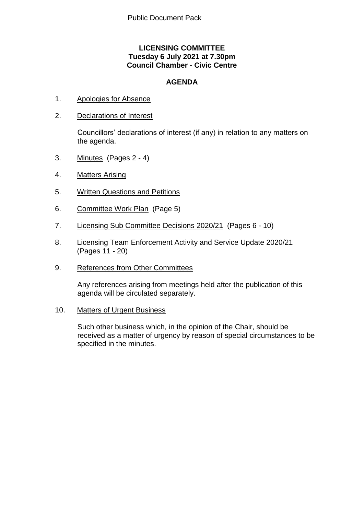# **LICENSING COMMITTEE Tuesday 6 July 2021 at 7.30pm Council Chamber - Civic Centre**

# **AGENDA**

- 1. Apologies for Absence
- 2. Declarations of Interest

Councillors' declarations of interest (if any) in relation to any matters on the agenda.

- 3. Minutes (Pages 2 4)
- 4. Matters Arising
- 5. Written Questions and Petitions
- 6. Committee Work Plan (Page 5)
- 7. Licensing Sub Committee Decisions 2020/21 (Pages 6 10)
- 8. Licensing Team Enforcement Activity and Service Update 2020/21 (Pages 11 - 20)
- 9. References from Other Committees

Any references arising from meetings held after the publication of this agenda will be circulated separately.

10. Matters of Urgent Business

Such other business which, in the opinion of the Chair, should be received as a matter of urgency by reason of special circumstances to be specified in the minutes.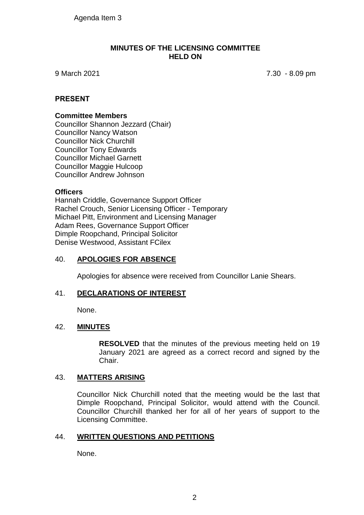# **MINUTES OF THE LICENSING COMMITTEE HELD ON**

9 March 2021 7.30 - 8.09 pm

# **PRESENT**

# **Committee Members**

Councillor Shannon Jezzard (Chair) Councillor Nancy Watson Councillor Nick Churchill Councillor Tony Edwards Councillor Michael Garnett Councillor Maggie Hulcoop Councillor Andrew Johnson

# **Officers**

Hannah Criddle, Governance Support Officer Rachel Crouch, Senior Licensing Officer - Temporary Michael Pitt, Environment and Licensing Manager Adam Rees, Governance Support Officer Dimple Roopchand, Principal Solicitor Denise Westwood, Assistant FCilex

# 40. **APOLOGIES FOR ABSENCE**

Apologies for absence were received from Councillor Lanie Shears.

# 41. **DECLARATIONS OF INTEREST**

None.

# 42. **MINUTES**

**RESOLVED** that the minutes of the previous meeting held on 19 January 2021 are agreed as a correct record and signed by the Chair.

# 43. **MATTERS ARISING**

Councillor Nick Churchill noted that the meeting would be the last that Dimple Roopchand, Principal Solicitor, would attend with the Council. Councillor Churchill thanked her for all of her years of support to the Licensing Committee.

# 44. **WRITTEN QUESTIONS AND PETITIONS**

None.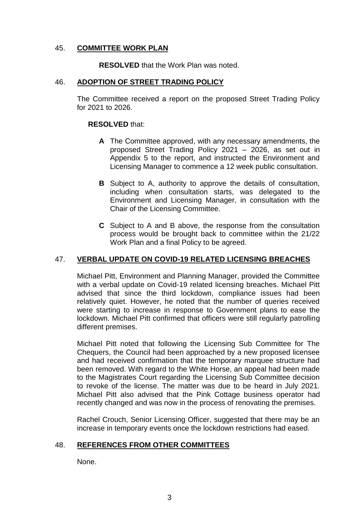# 45. **COMMITTEE WORK PLAN**

**RESOLVED** that the Work Plan was noted.

# 46. **ADOPTION OF STREET TRADING POLICY**

The Committee received a report on the proposed Street Trading Policy for 2021 to 2026.

# **RESOLVED** that:

- **A** The Committee approved, with any necessary amendments, the proposed Street Trading Policy 2021 – 2026, as set out in Appendix 5 to the report, and instructed the Environment and Licensing Manager to commence a 12 week public consultation.
- **B** Subject to A, authority to approve the details of consultation, including when consultation starts, was delegated to the Environment and Licensing Manager, in consultation with the Chair of the Licensing Committee.
- **C** Subject to A and B above, the response from the consultation process would be brought back to committee within the 21/22 Work Plan and a final Policy to be agreed.

# 47. **VERBAL UPDATE ON COVID-19 RELATED LICENSING BREACHES**

Michael Pitt, Environment and Planning Manager, provided the Committee with a verbal update on Covid-19 related licensing breaches. Michael Pitt advised that since the third lockdown, compliance issues had been relatively quiet. However, he noted that the number of queries received were starting to increase in response to Government plans to ease the lockdown. Michael Pitt confirmed that officers were still regularly patrolling different premises.

Michael Pitt noted that following the Licensing Sub Committee for The Chequers, the Council had been approached by a new proposed licensee and had received confirmation that the temporary marquee structure had been removed. With regard to the White Horse, an appeal had been made to the Magistrates Court regarding the Licensing Sub Committee decision to revoke of the license. The matter was due to be heard in July 2021. Michael Pitt also advised that the Pink Cottage business operator had recently changed and was now in the process of renovating the premises.

Rachel Crouch, Senior Licensing Officer, suggested that there may be an increase in temporary events once the lockdown restrictions had eased.

# 48. **REFERENCES FROM OTHER COMMITTEES**

None.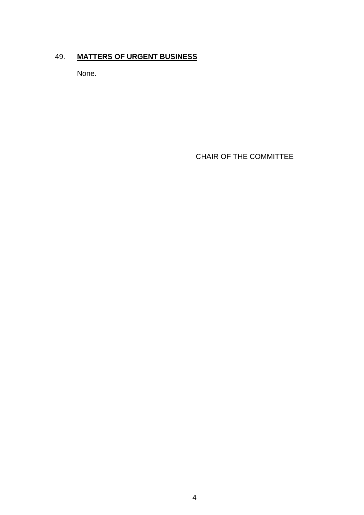# 49. **MATTERS OF URGENT BUSINESS**

None.

CHAIR OF THE COMMITTEE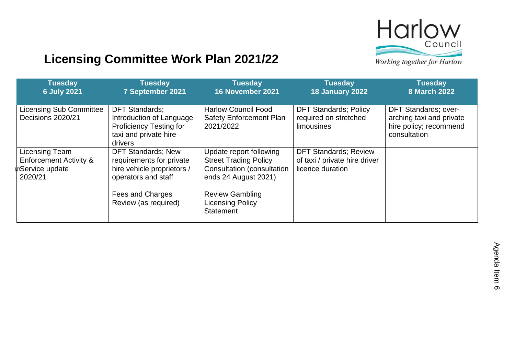

# **Licensing Committee Work Plan 2021/22**

Working together for Harlow

| <b>Tuesday</b><br><b>6 July 2021</b>                                                                 | <b>Tuesday</b><br>7 September 2021                                                                                      | <b>Tuesday</b><br>16 November 2021                                                                            | <b>Tuesday</b><br><b>18 January 2022</b>                                          | <b>Tuesday</b><br><b>8 March 2022</b>                                                             |
|------------------------------------------------------------------------------------------------------|-------------------------------------------------------------------------------------------------------------------------|---------------------------------------------------------------------------------------------------------------|-----------------------------------------------------------------------------------|---------------------------------------------------------------------------------------------------|
| <b>Licensing Sub Committee</b><br>Decisions 2020/21                                                  | <b>DFT Standards:</b><br>Introduction of Language<br><b>Proficiency Testing for</b><br>taxi and private hire<br>drivers | <b>Harlow Council Food</b><br><b>Safety Enforcement Plan</b><br>2021/2022                                     | <b>DFT Standards; Policy</b><br>required on stretched<br><b>limousines</b>        | <b>DFT Standards; over-</b><br>arching taxi and private<br>hire policy; recommend<br>consultation |
| <b>Licensing Team</b><br><b>Enforcement Activity &amp;</b><br>ψ <sub>Service</sub> update<br>2020/21 | <b>DFT Standards; New</b><br>requirements for private<br>hire vehicle proprietors /<br>operators and staff              | Update report following<br><b>Street Trading Policy</b><br>Consultation (consultation<br>ends 24 August 2021) | <b>DFT Standards; Review</b><br>of taxi / private hire driver<br>licence duration |                                                                                                   |
|                                                                                                      | Fees and Charges<br>Review (as required)                                                                                | <b>Review Gambling</b><br><b>Licensing Policy</b><br><b>Statement</b>                                         |                                                                                   |                                                                                                   |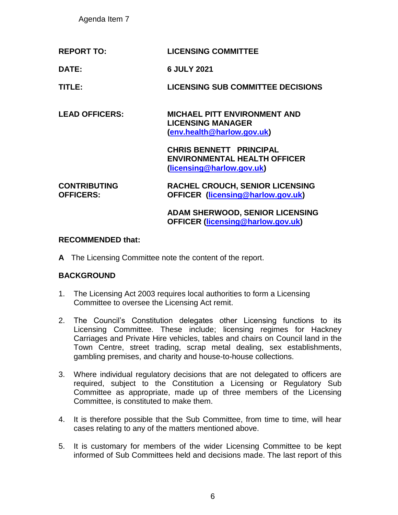Agenda Item 7

| <b>REPORT TO:</b> | <b>LICENSING COMMITTEE</b> |
|-------------------|----------------------------|
|                   |                            |

**DATE: 6 JULY 2021**

**TITLE: LICENSING SUB COMMITTEE DECISIONS**

**LEAD OFFICERS: MICHAEL PITT ENVIRONMENT AND LICENSING MANAGER [\(env.health@harlow.gov.uk\)](mailto:env.health@harlow.gov.uk)**

> **CHRIS BENNETT PRINCIPAL ENVIRONMENTAL HEALTH OFFICER [\(licensing@harlow.gov.uk\)](mailto:licensing@harlow.gov.uk)**

#### **CONTRIBUTING OFFICERS: RACHEL CROUCH, SENIOR LICENSING OFFICER [\(licensing@harlow.gov.uk\)](mailto:licensing@harlow.gov.uk)**

**ADAM SHERWOOD, SENIOR LICENSING OFFICER [\(licensing@harlow.gov.uk\)](mailto:licensing@harlow.gov.uk)**

# **RECOMMENDED that:**

**A** The Licensing Committee note the content of the report.

# **BACKGROUND**

- 1. The Licensing Act 2003 requires local authorities to form a Licensing Committee to oversee the Licensing Act remit.
- 2. The Council's Constitution delegates other Licensing functions to its Licensing Committee. These include; licensing regimes for Hackney Carriages and Private Hire vehicles, tables and chairs on Council land in the Town Centre, street trading, scrap metal dealing, sex establishments, gambling premises, and charity and house-to-house collections.
- 3. Where individual regulatory decisions that are not delegated to officers are required, subject to the Constitution a Licensing or Regulatory Sub Committee as appropriate, made up of three members of the Licensing Committee, is constituted to make them.
- 4. It is therefore possible that the Sub Committee, from time to time, will hear cases relating to any of the matters mentioned above.
- 5. It is customary for members of the wider Licensing Committee to be kept informed of Sub Committees held and decisions made. The last report of this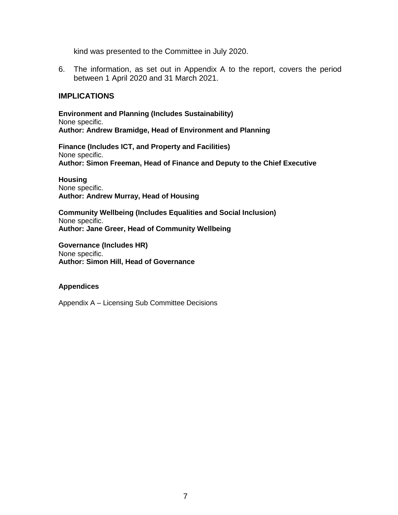kind was presented to the Committee in July 2020.

6. The information, as set out in Appendix A to the report, covers the period between 1 April 2020 and 31 March 2021.

# **IMPLICATIONS**

**Environment and Planning (Includes Sustainability)** None specific. **Author: Andrew Bramidge, Head of Environment and Planning**

**Finance (Includes ICT, and Property and Facilities)** None specific. **Author: Simon Freeman, Head of Finance and Deputy to the Chief Executive**

**Housing** None specific. **Author: Andrew Murray, Head of Housing**

**Community Wellbeing (Includes Equalities and Social Inclusion)** None specific. **Author: Jane Greer, Head of Community Wellbeing**

**Governance (Includes HR)** None specific. **Author: Simon Hill, Head of Governance**

#### **Appendices**

Appendix A – Licensing Sub Committee Decisions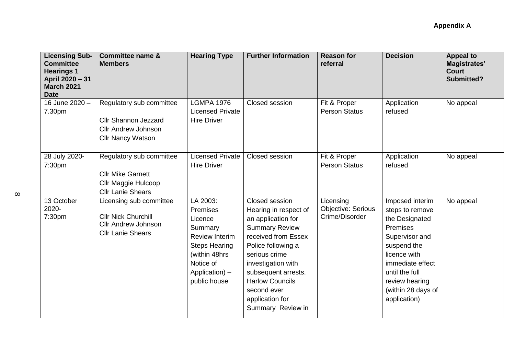| <b>Licensing Sub-</b><br><b>Committee</b><br><b>Hearings 1</b><br>April 2020 - 31<br><b>March 2021</b><br><b>Date</b> | <b>Committee name &amp;</b><br><b>Members</b>                                                                     | <b>Hearing Type</b>                                                                                                                                          | <b>Further Information</b>                                                                                                                                                                                                                                                         | <b>Reason for</b><br>referral                            | <b>Decision</b>                                                                                                                                                                                                        | <b>Appeal to</b><br><b>Magistrates'</b><br><b>Court</b><br><b>Submitted?</b> |
|-----------------------------------------------------------------------------------------------------------------------|-------------------------------------------------------------------------------------------------------------------|--------------------------------------------------------------------------------------------------------------------------------------------------------------|------------------------------------------------------------------------------------------------------------------------------------------------------------------------------------------------------------------------------------------------------------------------------------|----------------------------------------------------------|------------------------------------------------------------------------------------------------------------------------------------------------------------------------------------------------------------------------|------------------------------------------------------------------------------|
| 16 June 2020 -<br>7.30pm                                                                                              | Regulatory sub committee<br><b>Cllr Shannon Jezzard</b><br><b>Cllr Andrew Johnson</b><br><b>Cllr Nancy Watson</b> | <b>LGMPA 1976</b><br><b>Licensed Private</b><br><b>Hire Driver</b>                                                                                           | Closed session                                                                                                                                                                                                                                                                     | Fit & Proper<br><b>Person Status</b>                     | Application<br>refused                                                                                                                                                                                                 | No appeal                                                                    |
| 28 July 2020-<br>7:30pm                                                                                               | Regulatory sub committee<br><b>Cllr Mike Garnett</b><br>Cllr Maggie Hulcoop<br><b>Cllr Lanie Shears</b>           | <b>Licensed Private</b><br><b>Hire Driver</b>                                                                                                                | Closed session                                                                                                                                                                                                                                                                     | Fit & Proper<br><b>Person Status</b>                     | Application<br>refused                                                                                                                                                                                                 | No appeal                                                                    |
| 13 October<br>2020-<br>7:30pm                                                                                         | Licensing sub committee<br><b>Cllr Nick Churchill</b><br><b>Cllr Andrew Johnson</b><br><b>Cllr Lanie Shears</b>   | LA 2003:<br>Premises<br>Licence<br>Summary<br><b>Review Interim</b><br><b>Steps Hearing</b><br>(within 48hrs)<br>Notice of<br>Application) -<br>public house | Closed session<br>Hearing in respect of<br>an application for<br><b>Summary Review</b><br>received from Essex<br>Police following a<br>serious crime<br>investigation with<br>subsequent arrests.<br><b>Harlow Councils</b><br>second ever<br>application for<br>Summary Review in | Licensing<br><b>Objective: Serious</b><br>Crime/Disorder | Imposed interim<br>steps to remove<br>the Designated<br><b>Premises</b><br>Supervisor and<br>suspend the<br>licence with<br>immediate effect<br>until the full<br>review hearing<br>(within 28 days of<br>application) | No appeal                                                                    |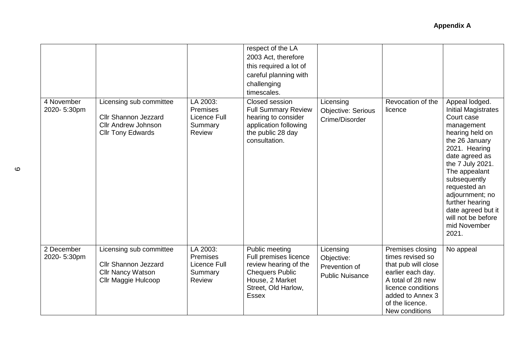|                           |                                                                                                                  |                                                                         | respect of the LA<br>2003 Act, therefore<br>this required a lot of<br>careful planning with<br>challenging<br>timescales.                            |                                                                    |                                                                                                                                                                                      |                                                                                                                                                                                                                                                                                                                                  |
|---------------------------|------------------------------------------------------------------------------------------------------------------|-------------------------------------------------------------------------|------------------------------------------------------------------------------------------------------------------------------------------------------|--------------------------------------------------------------------|--------------------------------------------------------------------------------------------------------------------------------------------------------------------------------------|----------------------------------------------------------------------------------------------------------------------------------------------------------------------------------------------------------------------------------------------------------------------------------------------------------------------------------|
| 4 November<br>2020-5:30pm | Licensing sub committee<br><b>Cllr Shannon Jezzard</b><br><b>Cllr Andrew Johnson</b><br><b>Cllr Tony Edwards</b> | LA 2003:<br><b>Premises</b><br>Licence Full<br>Summary<br>Review        | Closed session<br><b>Full Summary Review</b><br>hearing to consider<br>application following<br>the public 28 day<br>consultation.                   | Licensing<br><b>Objective: Serious</b><br>Crime/Disorder           | Revocation of the<br>licence                                                                                                                                                         | Appeal lodged.<br><b>Initial Magistrates</b><br>Court case<br>management<br>hearing held on<br>the 26 January<br>2021. Hearing<br>date agreed as<br>the 7 July 2021.<br>The appealant<br>subsequently<br>requested an<br>adjournment; no<br>further hearing<br>date agreed but it<br>will not be before<br>mid November<br>2021. |
| 2 December<br>2020-5:30pm | Licensing sub committee<br><b>Cllr Shannon Jezzard</b><br><b>Cllr Nancy Watson</b><br>Cllr Maggie Hulcoop        | LA 2003:<br><b>Premises</b><br>Licence Full<br>Summary<br><b>Review</b> | Public meeting<br>Full premises licence<br>review hearing of the<br><b>Chequers Public</b><br>House, 2 Market<br>Street, Old Harlow,<br><b>Essex</b> | Licensing<br>Objective:<br>Prevention of<br><b>Public Nuisance</b> | Premises closing<br>times revised so<br>that pub will close<br>earlier each day.<br>A total of 28 new<br>licence conditions<br>added to Annex 3<br>of the licence.<br>New conditions | No appeal                                                                                                                                                                                                                                                                                                                        |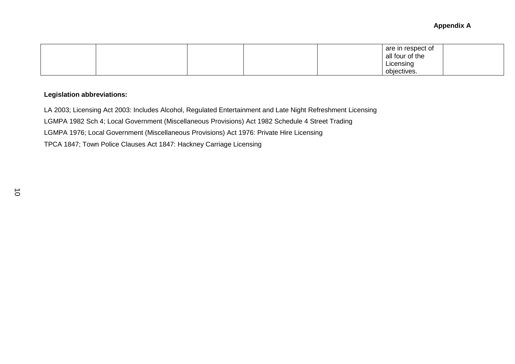|  |  | are in respect of |  |
|--|--|-------------------|--|
|  |  | all four of the   |  |
|  |  | Licensing         |  |
|  |  | objectives.       |  |

# **Legislation abbreviations:**

LA 2003; Licensing Act 2003: Includes Alcohol, Regulated Entertainment and Late Night Refreshment Licensing LGMPA 1982 Sch 4; Local Government (Miscellaneous Provisions) Act 1982 Schedule 4 Street Trading LGMPA 1976; Local Government (Miscellaneous Provisions) Act 1976: Private Hire Licensing TPCA 1847; Town Police Clauses Act 1847: Hackney Carriage Licensing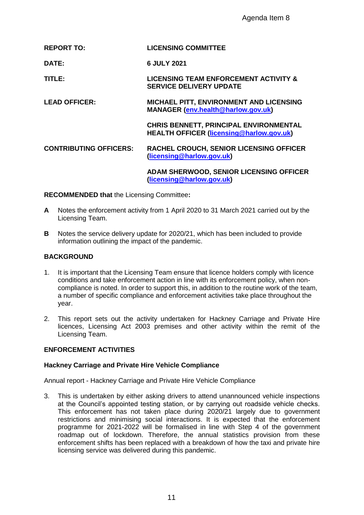|    |                                                             | Agenda Item 8                                                                                                                                                                                                                                                                                                                                                                                                                                                                                                                                                                                           |
|----|-------------------------------------------------------------|---------------------------------------------------------------------------------------------------------------------------------------------------------------------------------------------------------------------------------------------------------------------------------------------------------------------------------------------------------------------------------------------------------------------------------------------------------------------------------------------------------------------------------------------------------------------------------------------------------|
|    | <b>REPORT TO:</b>                                           | <b>LICENSING COMMITTEE</b>                                                                                                                                                                                                                                                                                                                                                                                                                                                                                                                                                                              |
|    | DATE:                                                       | 6 JULY 2021                                                                                                                                                                                                                                                                                                                                                                                                                                                                                                                                                                                             |
|    | TITLE:                                                      | <b>LICENSING TEAM ENFORCEMENT ACTIVITY &amp;</b><br><b>SERVICE DELIVERY UPDATE</b>                                                                                                                                                                                                                                                                                                                                                                                                                                                                                                                      |
|    | <b>LEAD OFFICER:</b>                                        | MICHAEL PITT, ENVIRONMENT AND LICENSING<br>MANAGER (env.health@harlow.gov.uk)                                                                                                                                                                                                                                                                                                                                                                                                                                                                                                                           |
|    |                                                             | CHRIS BENNETT, PRINCIPAL ENVIRONMENTAL<br><b>HEALTH OFFICER (licensing@harlow.gov.uk)</b>                                                                                                                                                                                                                                                                                                                                                                                                                                                                                                               |
|    | <b>CONTRIBUTING OFFICERS:</b>                               | <b>RACHEL CROUCH, SENIOR LICENSING OFFICER</b><br>(licensing@harlow.gov.uk)                                                                                                                                                                                                                                                                                                                                                                                                                                                                                                                             |
|    |                                                             | ADAM SHERWOOD, SENIOR LICENSING OFFICER<br>(licensing@harlow.gov.uk)                                                                                                                                                                                                                                                                                                                                                                                                                                                                                                                                    |
|    | <b>RECOMMENDED that the Licensing Committee:</b>            |                                                                                                                                                                                                                                                                                                                                                                                                                                                                                                                                                                                                         |
| A  | Licensing Team.                                             | Notes the enforcement activity from 1 April 2020 to 31 March 2021 carried out by the                                                                                                                                                                                                                                                                                                                                                                                                                                                                                                                    |
| В  | information outlining the impact of the pandemic.           | Notes the service delivery update for 2020/21, which has been included to provide                                                                                                                                                                                                                                                                                                                                                                                                                                                                                                                       |
|    | <b>BACKGROUND</b>                                           |                                                                                                                                                                                                                                                                                                                                                                                                                                                                                                                                                                                                         |
| 1. | year.                                                       | It is important that the Licensing Team ensure that licence holders comply with licenc<br>conditions and take enforcement action in line with its enforcement policy, when non-<br>compliance is noted. In order to support this, in addition to the routine work of the tea<br>a number of specific compliance and enforcement activities take place throughout the                                                                                                                                                                                                                                    |
| 2. | Licensing Team.                                             | This report sets out the activity undertaken for Hackney Carriage and Private F<br>licences, Licensing Act 2003 premises and other activity within the remit of                                                                                                                                                                                                                                                                                                                                                                                                                                         |
|    | <b>ENFORCEMENT ACTIVITIES</b>                               |                                                                                                                                                                                                                                                                                                                                                                                                                                                                                                                                                                                                         |
|    | <b>Hackney Carriage and Private Hire Vehicle Compliance</b> |                                                                                                                                                                                                                                                                                                                                                                                                                                                                                                                                                                                                         |
|    |                                                             | Annual report - Hackney Carriage and Private Hire Vehicle Compliance                                                                                                                                                                                                                                                                                                                                                                                                                                                                                                                                    |
| 3. | licensing service was delivered during this pandemic.       | This is undertaken by either asking drivers to attend unannounced vehicle inspection<br>at the Council's appointed testing station, or by carrying out roadside vehicle ched<br>This enforcement has not taken place during 2020/21 largely due to governm<br>restrictions and minimising social interactions. It is expected that the enforcem<br>programme for 2021-2022 will be formalised in line with Step 4 of the governm<br>roadmap out of lockdown. Therefore, the annual statistics provision from the<br>enforcement shifts has been replaced with a breakdown of how the taxi and private I |
|    |                                                             |                                                                                                                                                                                                                                                                                                                                                                                                                                                                                                                                                                                                         |
|    |                                                             | 11                                                                                                                                                                                                                                                                                                                                                                                                                                                                                                                                                                                                      |

- **A** Notes the enforcement activity from 1 April 2020 to 31 March 2021 carried out by the Licensing Team.
- **B** Notes the service delivery update for 2020/21, which has been included to provide information outlining the impact of the pandemic.

# **BACKGROUND**

- 1. It is important that the Licensing Team ensure that licence holders comply with licence conditions and take enforcement action in line with its enforcement policy, when noncompliance is noted. In order to support this, in addition to the routine work of the team, a number of specific compliance and enforcement activities take place throughout the year.
- 2. This report sets out the activity undertaken for Hackney Carriage and Private Hire licences, Licensing Act 2003 premises and other activity within the remit of the Licensing Team.

### **ENFORCEMENT ACTIVITIES**

### **Hackney Carriage and Private Hire Vehicle Compliance**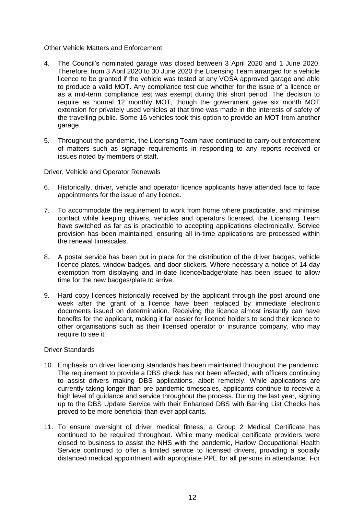#### Other Vehicle Matters and Enforcement

- 4. The Council's nominated garage was closed between 3 April 2020 and 1 June 2020. Therefore, from 3 April 2020 to 30 June 2020 the Licensing Team arranged for a vehicle licence to be granted if the vehicle was tested at any VOSA approved garage and able to produce a valid MOT. Any compliance test due whether for the issue of a licence or as a mid-term compliance test was exempt during this short period. The decision to require as normal 12 monthly MOT, though the government gave six month MOT extension for privately used vehicles at that time was made in the interests of safety of the travelling public. Some 16 vehicles took this option to provide an MOT from another garage.
- 5. Throughout the pandemic, the Licensing Team have continued to carry out enforcement of matters such as signage requirements in responding to any reports received or issues noted by members of staff.

Driver, Vehicle and Operator Renewals

- 6. Historically, driver, vehicle and operator licence applicants have attended face to face appointments for the issue of any licence.
- 7. To accommodate the requirement to work from home where practicable, and minimise contact while keeping drivers, vehicles and operators licensed, the Licensing Team have switched as far as is practicable to accepting applications electronically. Service provision has been maintained, ensuring all in-time applications are processed within the renewal timescales.
- 8. A postal service has been put in place for the distribution of the driver badges, vehicle licence plates, window badges, and door stickers. Where necessary a notice of 14 day exemption from displaying and in-date licence/badge/plate has been issued to allow time for the new badges/plate to arrive.
- 9. Hard copy licences historically received by the applicant through the post around one week after the grant of a licence have been replaced by immediate electronic documents issued on determination. Receiving the licence almost instantly can have benefits for the applicant, making it far easier for licence holders to send their licence to other organisations such as their licensed operator or insurance company, who may require to see it.

### Driver Standards

- 10. Emphasis on driver licencing standards has been maintained throughout the pandemic. The requirement to provide a DBS check has not been affected, with officers continuing to assist drivers making DBS applications, albeit remotely. While applications are currently taking longer than pre-pandemic timescales, applicants continue to receive a high level of guidance and service throughout the process. During the last year, signing up to the DBS Update Service with their Enhanced DBS with Barring List Checks has proved to be more beneficial than ever applicants.
- 11. To ensure oversight of driver medical fitness, a Group 2 Medical Certificate has continued to be required throughout. While many medical certificate providers were closed to business to assist the NHS with the pandemic, Harlow Occupational Health Service continued to offer a limited service to licensed drivers, providing a socially distanced medical appointment with appropriate PPE for all persons in attendance. For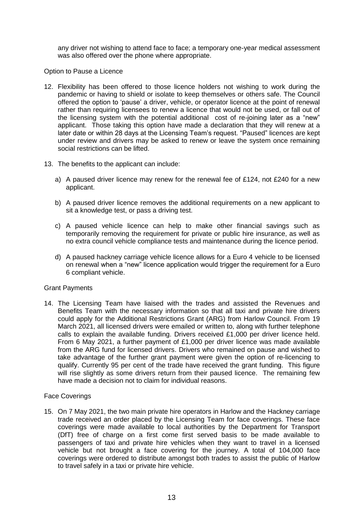any driver not wishing to attend face to face; a temporary one-year medical assessment was also offered over the phone where appropriate.

#### Option to Pause a Licence

- 12. Flexibility has been offered to those licence holders not wishing to work during the pandemic or having to shield or isolate to keep themselves or others safe. The Council offered the option to 'pause' a driver, vehicle, or operator licence at the point of renewal rather than requiring licensees to renew a licence that would not be used, or fall out of the licensing system with the potential additional cost of re-joining later as a "new" applicant. Those taking this option have made a declaration that they will renew at a later date or within 28 days at the Licensing Team's request. "Paused" licences are kept under review and drivers may be asked to renew or leave the system once remaining social restrictions can be lifted.
- 13. The benefits to the applicant can include:
	- a) A paused driver licence may renew for the renewal fee of £124, not £240 for a new applicant.
	- b) A paused driver licence removes the additional requirements on a new applicant to sit a knowledge test, or pass a driving test.
	- c) A paused vehicle licence can help to make other financial savings such as temporarily removing the requirement for private or public hire insurance, as well as no extra council vehicle compliance tests and maintenance during the licence period.
	- d) A paused hackney carriage vehicle licence allows for a Euro 4 vehicle to be licensed on renewal when a "new" licence application would trigger the requirement for a Euro 6 compliant vehicle.

#### Grant Payments

14. The Licensing Team have liaised with the trades and assisted the Revenues and Benefits Team with the necessary information so that all taxi and private hire drivers could apply for the Additional Restrictions Grant (ARG) from Harlow Council. From 19 March 2021, all licensed drivers were emailed or written to, along with further telephone calls to explain the available funding. Drivers received £1,000 per driver licence held. From 6 May 2021, a further payment of £1,000 per driver licence was made available from the ARG fund for licensed drivers. Drivers who remained on pause and wished to take advantage of the further grant payment were given the option of re-licencing to qualify. Currently 95 per cent of the trade have received the grant funding. This figure will rise slightly as some drivers return from their paused licence. The remaining few have made a decision not to claim for individual reasons.

### Face Coverings

15. On 7 May 2021, the two main private hire operators in Harlow and the Hackney carriage trade received an order placed by the Licensing Team for face coverings. These face coverings were made available to local authorities by the Department for Transport (DfT) free of charge on a first come first served basis to be made available to passengers of taxi and private hire vehicles when they want to travel in a licensed vehicle but not brought a face covering for the journey. A total of 104,000 face coverings were ordered to distribute amongst both trades to assist the public of Harlow to travel safely in a taxi or private hire vehicle.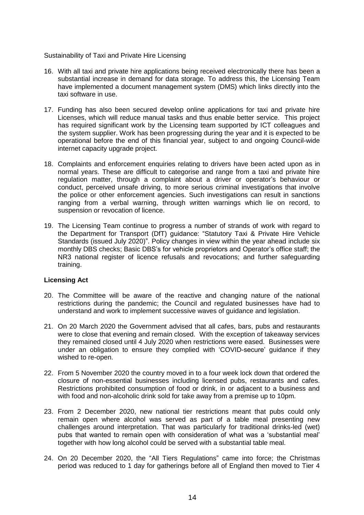#### Sustainability of Taxi and Private Hire Licensing

- 16. With all taxi and private hire applications being received electronically there has been a substantial increase in demand for data storage. To address this, the Licensing Team have implemented a document management system (DMS) which links directly into the taxi software in use.
- 17. Funding has also been secured develop online applications for taxi and private hire Licenses, which will reduce manual tasks and thus enable better service. This project has required significant work by the Licensing team supported by ICT colleagues and the system supplier. Work has been progressing during the year and it is expected to be operational before the end of this financial year, subject to and ongoing Council-wide internet capacity upgrade project.
- 18. Complaints and enforcement enquiries relating to drivers have been acted upon as in normal years. These are difficult to categorise and range from a taxi and private hire regulation matter, through a complaint about a driver or operator's behaviour or conduct, perceived unsafe driving, to more serious criminal investigations that involve the police or other enforcement agencies. Such investigations can result in sanctions ranging from a verbal warning, through written warnings which lie on record, to suspension or revocation of licence.
- 19. The Licensing Team continue to progress a number of strands of work with regard to the Department for Transport (DfT) guidance: "Statutory Taxi & Private Hire Vehicle Standards (issued July 2020)". Policy changes in view within the year ahead include six monthly DBS checks; Basic DBS's for vehicle proprietors and Operator's office staff; the NR3 national register of licence refusals and revocations; and further safeguarding training.

### **Licensing Act**

- 20. The Committee will be aware of the reactive and changing nature of the national restrictions during the pandemic; the Council and regulated businesses have had to understand and work to implement successive waves of guidance and legislation.
- 21. On 20 March 2020 the Government advised that all cafes, bars, pubs and restaurants were to close that evening and remain closed. With the exception of takeaway services they remained closed until 4 July 2020 when restrictions were eased. Businesses were under an obligation to ensure they complied with 'COVID-secure' guidance if they wished to re-open.
- 22. From 5 November 2020 the country moved in to a four week lock down that ordered the closure of non-essential businesses including licensed pubs, restaurants and cafes. Restrictions prohibited consumption of food or drink, in or adjacent to a business and with food and non-alcoholic drink sold for take away from a premise up to 10pm.
- 23. From 2 December 2020, new national tier restrictions meant that pubs could only remain open where alcohol was served as part of a table meal presenting new challenges around interpretation. That was particularly for traditional drinks-led (wet) pubs that wanted to remain open with consideration of what was a 'substantial meal' together with how long alcohol could be served with a substantial table meal.
- 24. On 20 December 2020, the "All Tiers Regulations" came into force; the Christmas period was reduced to 1 day for gatherings before all of England then moved to Tier 4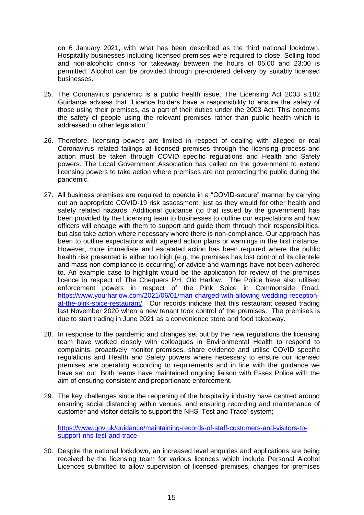on 6 January 2021, with what has been described as the third national lockdown. Hospitality businesses including licensed premises were required to close. Selling food and non-alcoholic drinks for takeaway between the hours of 05:00 and 23:00 is permitted. Alcohol can be provided through pre-ordered delivery by suitably licensed businesses.

- 25. The Coronavirus pandemic is a public health issue. The Licensing Act 2003 s.182 Guidance advises that "Licence holders have a responsibility to ensure the safety of those using their premises, as a part of their duties under the 2003 Act. This concerns the safety of people using the relevant premises rather than public health which is addressed in other legislation."
- 26. Therefore, licensing powers are limited in respect of dealing with alleged or real Coronavirus related failings at licensed premises through the licensing process and action must be taken through COVID specific regulations and Health and Safety powers. The Local Government Association has called on the government to extend licensing powers to take action where premises are not protecting the public during the pandemic.
- 27. All business premises are required to operate in a "COVID-secure" manner by carrying out an appropriate COVID-19 risk assessment, just as they would for other health and safety related hazards. Additional guidance (to that issued by the government) has been provided by the Licensing team to businesses to outline our expectations and how officers will engage with them to support and guide them through their responsibilities, but also take action where necessary where there is non-compliance. Our approach has been to outline expectations with agreed action plans or warnings in the first instance. However, more immediate and escalated action has been required where the public health risk presented is either too high (e.g. the premises has lost control of its clientele and mass non-compliance is occurring) or advice and warnings have not been adhered to. An example case to highlight would be the application for review of the premises licence in respect of The Chequers PH, Old Harlow. The Police have also utilised enforcement powers in respect of the Pink Spice in Commonside Road. [https://www.yourharlow.com/2021/06/01/man-charged-with-allowing-wedding-reception](https://www.yourharlow.com/2021/06/01/man-charged-with-allowing-wedding-reception-at-the-pink-spice-restaurant/)[at-the-pink-spice-restaurant/.](https://www.yourharlow.com/2021/06/01/man-charged-with-allowing-wedding-reception-at-the-pink-spice-restaurant/) Our records indicate that this restaurant ceased trading last November 2020 when a new tenant took control of the premises. The premises is due to start trading in June 2021 as a convenience store and food takeaway.
- 28. In response to the pandemic and changes set out by the new regulations the licensing team have worked closely with colleagues in Environmental Health to respond to complaints, proactively monitor premises, share evidence and utilise COVID specific regulations and Health and Safety powers where necessary to ensure our licensed premises are operating according to requirements and in line with the guidance we have set out. Both teams have maintained ongoing liaison with Essex Police with the aim of ensuring consistent and proportionate enforcement.
- 29. The key challenges since the reopening of the hospitality industry have centred around ensuring social distancing within venues, and ensuring recording and maintenance of customer and visitor details to support the NHS 'Test and Trace' system;

[https://www.gov.uk/guidance/maintaining-records-of-staff-customers-and-visitors-to](https://www.gov.uk/guidance/maintaining-records-of-staff-customers-and-visitors-to-support-nhs-test-and-trace)[support-nhs-test-and-trace](https://www.gov.uk/guidance/maintaining-records-of-staff-customers-and-visitors-to-support-nhs-test-and-trace)

30. Despite the national lockdown, an increased level enquiries and applications are being received by the licensing team for various licences which include Personal Alcohol Licences submitted to allow supervision of licensed premises, changes for premises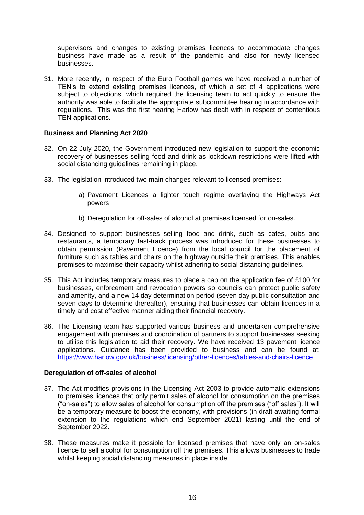supervisors and changes to existing premises licences to accommodate changes business have made as a result of the pandemic and also for newly licensed businesses.

31. More recently, in respect of the Euro Football games we have received a number of TEN's to extend existing premises licences, of which a set of 4 applications were subject to objections, which required the licensing team to act quickly to ensure the authority was able to facilitate the appropriate subcommittee hearing in accordance with regulations. This was the first hearing Harlow has dealt with in respect of contentious TEN applications.

### **Business and Planning Act 2020**

- 32. On 22 July 2020, the Government introduced new legislation to support the economic recovery of businesses selling food and drink as lockdown restrictions were lifted with social distancing guidelines remaining in place.
- 33. The legislation introduced two main changes relevant to licensed premises:
	- a) Pavement Licences a lighter touch regime overlaying the Highways Act powers
	- b) Deregulation for off-sales of alcohol at premises licensed for on-sales.
- 34. Designed to support businesses selling food and drink, such as cafes, pubs and restaurants, a temporary fast-track process was introduced for these businesses to obtain permission (Pavement Licence) from the local council for the placement of furniture such as tables and chairs on the highway outside their premises. This enables premises to maximise their capacity whilst adhering to social distancing guidelines.
- 35. This Act includes temporary measures to place a cap on the application fee of £100 for businesses, enforcement and revocation powers so councils can protect public safety and amenity, and a new 14 day determination period (seven day public consultation and seven days to determine thereafter), ensuring that businesses can obtain licences in a timely and cost effective manner aiding their financial recovery.
- 36. The Licensing team has supported various business and undertaken comprehensive engagement with premises and coordination of partners to support businesses seeking to utilise this legislation to aid their recovery. We have received 13 pavement licence applications. Guidance has been provided to business and can be found at: <https://www.harlow.gov.uk/business/licensing/other-licences/tables-and-chairs-licence>

### **Deregulation of off-sales of alcohol**

- 37. The Act modifies provisions in the Licensing Act 2003 to provide automatic extensions to premises licences that only permit sales of alcohol for consumption on the premises ("on-sales") to allow sales of alcohol for consumption off the premises ("off sales"). It will be a temporary measure to boost the economy, with provisions (in draft awaiting formal extension to the regulations which end September 2021) lasting until the end of September 2022.
- 38. These measures make it possible for licensed premises that have only an on-sales licence to sell alcohol for consumption off the premises. This allows businesses to trade whilst keeping social distancing measures in place inside.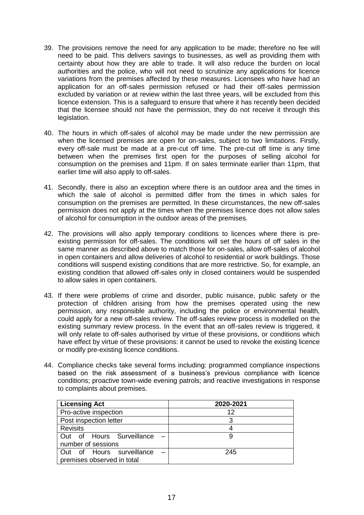- 39. The provisions remove the need for any application to be made; therefore no fee will need to be paid. This delivers savings to businesses, as well as providing them with certainty about how they are able to trade. It will also reduce the burden on local authorities and the police, who will not need to scrutinize any applications for licence variations from the premises affected by these measures. Licensees who have had an application for an off-sales permission refused or had their off-sales permission excluded by variation or at review within the last three years, will be excluded from this licence extension. This is a safeguard to ensure that where it has recently been decided that the licensee should not have the permission, they do not receive it through this legislation.
- 40. The hours in which off-sales of alcohol may be made under the new permission are when the licensed premises are open for on-sales, subject to two limitations. Firstly, every off-sale must be made at a pre-cut off time. The pre-cut off time is any time between when the premises first open for the purposes of selling alcohol for consumption on the premises and 11pm. If on sales terminate earlier than 11pm, that earlier time will also apply to off-sales.
- 41. Secondly, there is also an exception where there is an outdoor area and the times in which the sale of alcohol is permitted differ from the times in which sales for consumption on the premises are permitted. In these circumstances, the new off-sales permission does not apply at the times when the premises licence does not allow sales of alcohol for consumption in the outdoor areas of the premises.
- 42. The provisions will also apply temporary conditions to licences where there is preexisting permission for off-sales. The conditions will set the hours of off sales in the same manner as described above to match those for on-sales, allow off-sales of alcohol in open containers and allow deliveries of alcohol to residential or work buildings. Those conditions will suspend existing conditions that are more restrictive. So, for example, an existing condition that allowed off-sales only in closed containers would be suspended to allow sales in open containers.
- 43. If there were problems of crime and disorder, public nuisance, public safety or the protection of children arising from how the premises operated using the new permission, any responsible authority, including the police or environmental health, could apply for a new off-sales review. The off-sales review process is modelled on the existing summary review process. In the event that an off-sales review is triggered, it will only relate to off-sales authorised by virtue of these provisions, or conditions which have effect by virtue of these provisions: it cannot be used to revoke the existing licence or modify pre-existing licence conditions.
- 44. Compliance checks take several forms including: programmed compliance inspections based on the risk assessment of a business's previous compliance with licence conditions; proactive town-wide evening patrols; and reactive investigations in response to complaints about premises.

| <b>Licensing Act</b>       | 2020-2021 |
|----------------------------|-----------|
| Pro-active inspection      | 12        |
| Post inspection letter     |           |
| <b>Revisits</b>            |           |
| Out of Hours Surveillance  |           |
| number of sessions         |           |
| Out of Hours surveillance  | 245       |
| premises observed in total |           |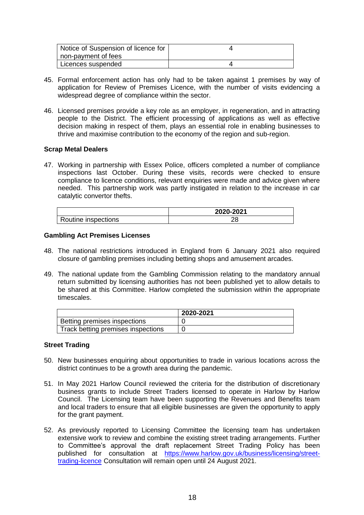| Notice of Suspension of licence for |  |
|-------------------------------------|--|
| non-payment of fees                 |  |
| Licences suspended                  |  |

- 45. Formal enforcement action has only had to be taken against 1 premises by way of application for Review of Premises Licence, with the number of visits evidencing a widespread degree of compliance within the sector.
- 46. Licensed premises provide a key role as an employer, in regeneration, and in attracting people to the District. The efficient processing of applications as well as effective decision making in respect of them, plays an essential role in enabling businesses to thrive and maximise contribution to the economy of the region and sub-region.

### **Scrap Metal Dealers**

47. Working in partnership with Essex Police, officers completed a number of compliance inspections last October. During these visits, records were checked to ensure compliance to licence conditions, relevant enquiries were made and advice given where needed. This partnership work was partly instigated in relation to the increase in car catalytic convertor thefts.

|                     | 2020-2021 |
|---------------------|-----------|
| Routine inspections |           |

#### **Gambling Act Premises Licenses**

- 48. The national restrictions introduced in England from 6 January 2021 also required closure of gambling premises including betting shops and amusement arcades.
- 49. The national update from the Gambling Commission relating to the mandatory annual return submitted by licensing authorities has not been published yet to allow details to be shared at this Committee. Harlow completed the submission within the appropriate timescales.

|                                    | 2020-2021 |
|------------------------------------|-----------|
| Betting premises inspections       |           |
| Track betting premises inspections |           |

#### **Street Trading**

- 50. New businesses enquiring about opportunities to trade in various locations across the district continues to be a growth area during the pandemic.
- 51. In May 2021 Harlow Council reviewed the criteria for the distribution of discretionary business grants to include Street Traders licensed to operate in Harlow by Harlow Council. The Licensing team have been supporting the Revenues and Benefits team and local traders to ensure that all eligible businesses are given the opportunity to apply for the grant payment.
- 52. As previously reported to Licensing Committee the licensing team has undertaken extensive work to review and combine the existing street trading arrangements. Further to Committee's approval the draft replacement Street Trading Policy has been published for consultation at [https://www.harlow.gov.uk/business/licensing/street](https://www.harlow.gov.uk/business/licensing/street-trading-licence)[trading-licence](https://www.harlow.gov.uk/business/licensing/street-trading-licence) Consultation will remain open until 24 August 2021.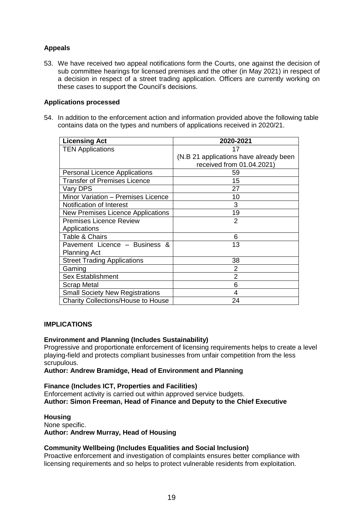# **Appeals**

53. We have received two appeal notifications form the Courts, one against the decision of sub committee hearings for licensed premises and the other (in May 2021) in respect of a decision in respect of a street trading application. Officers are currently working on these cases to support the Council's decisions.

### **Applications processed**

54. In addition to the enforcement action and information provided above the following table contains data on the types and numbers of applications received in 2020/21.

| <b>Licensing Act</b>                      | 2020-2021                              |
|-------------------------------------------|----------------------------------------|
| <b>TEN Applications</b>                   | 17                                     |
|                                           | (N.B 21 applications have already been |
|                                           | received from 01.04.2021)              |
| <b>Personal Licence Applications</b>      | 59                                     |
| Transfer of Premises Licence              | 15                                     |
| Vary DPS                                  | 27                                     |
| Minor Variation - Premises Licence        | 10                                     |
| Notification of Interest                  | 3                                      |
| New Premises Licence Applications         | 19                                     |
| <b>Premises Licence Review</b>            | 2                                      |
| Applications                              |                                        |
| <b>Table &amp; Chairs</b>                 | 6                                      |
| Pavement Licence - Business &             | 13                                     |
| <b>Planning Act</b>                       |                                        |
| <b>Street Trading Applications</b>        | 38                                     |
| Gaming                                    | 2                                      |
| <b>Sex Establishment</b>                  | 2                                      |
| <b>Scrap Metal</b>                        | 6                                      |
| <b>Small Society New Registrations</b>    | 4                                      |
| <b>Charity Collections/House to House</b> | 24                                     |

### **IMPLICATIONS**

#### **Environment and Planning (Includes Sustainability)**

Progressive and proportionate enforcement of licensing requirements helps to create a level playing-field and protects compliant businesses from unfair competition from the less scrupulous.

#### **Author: Andrew Bramidge, Head of Environment and Planning**

**Finance (Includes ICT, Properties and Facilities)** Enforcement activity is carried out within approved service budgets. **Author: Simon Freeman, Head of Finance and Deputy to the Chief Executive**

#### **Housing**

None specific. **Author: Andrew Murray, Head of Housing**

### **Community Wellbeing (Includes Equalities and Social Inclusion)**

Proactive enforcement and investigation of complaints ensures better compliance with licensing requirements and so helps to protect vulnerable residents from exploitation.